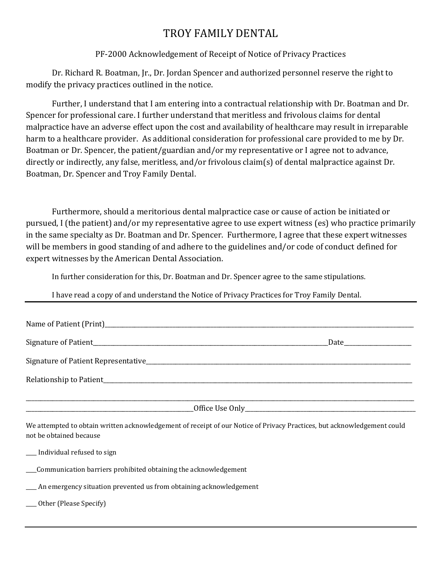## TROY FAMILY DENTAL

## PF-2000 Acknowledgement of Receipt of Notice of Privacy Practices

Dr. Richard R. Boatman, Jr., Dr. Jordan Spencer and authorized personnel reserve the right to modify the privacy practices outlined in the notice.

Further, I understand that I am entering into a contractual relationship with Dr. Boatman and Dr. Spencer for professional care. I further understand that meritless and frivolous claims for dental malpractice have an adverse effect upon the cost and availability of healthcare may result in irreparable harm to a healthcare provider. As additional consideration for professional care provided to me by Dr. Boatman or Dr. Spencer, the patient/guardian and/or my representative or I agree not to advance, directly or indirectly, any false, meritless, and/or frivolous claim(s) of dental malpractice against Dr. Boatman, Dr. Spencer and Troy Family Dental.

Furthermore, should a meritorious dental malpractice case or cause of action be initiated or pursued, I (the patient) and/or my representative agree to use expert witness (es) who practice primarily in the same specialty as Dr. Boatman and Dr. Spencer. Furthermore, I agree that these expert witnesses will be members in good standing of and adhere to the guidelines and/or code of conduct defined for expert witnesses by the American Dental Association.

In further consideration for this, Dr. Boatman and Dr. Spencer agree to the same stipulations.

I have read a copy of and understand the Notice of Privacy Practices for Troy Family Dental.

| We attempted to obtain written acknowledgement of receipt of our Notice of Privacy Practices, but acknowledgement could<br>not be obtained because |  |
|----------------------------------------------------------------------------------------------------------------------------------------------------|--|
| __ Individual refused to sign                                                                                                                      |  |
| Communication barriers prohibited obtaining the acknowledgement                                                                                    |  |
| An emergency situation prevented us from obtaining acknowledgement                                                                                 |  |
| ___ Other (Please Specify)                                                                                                                         |  |